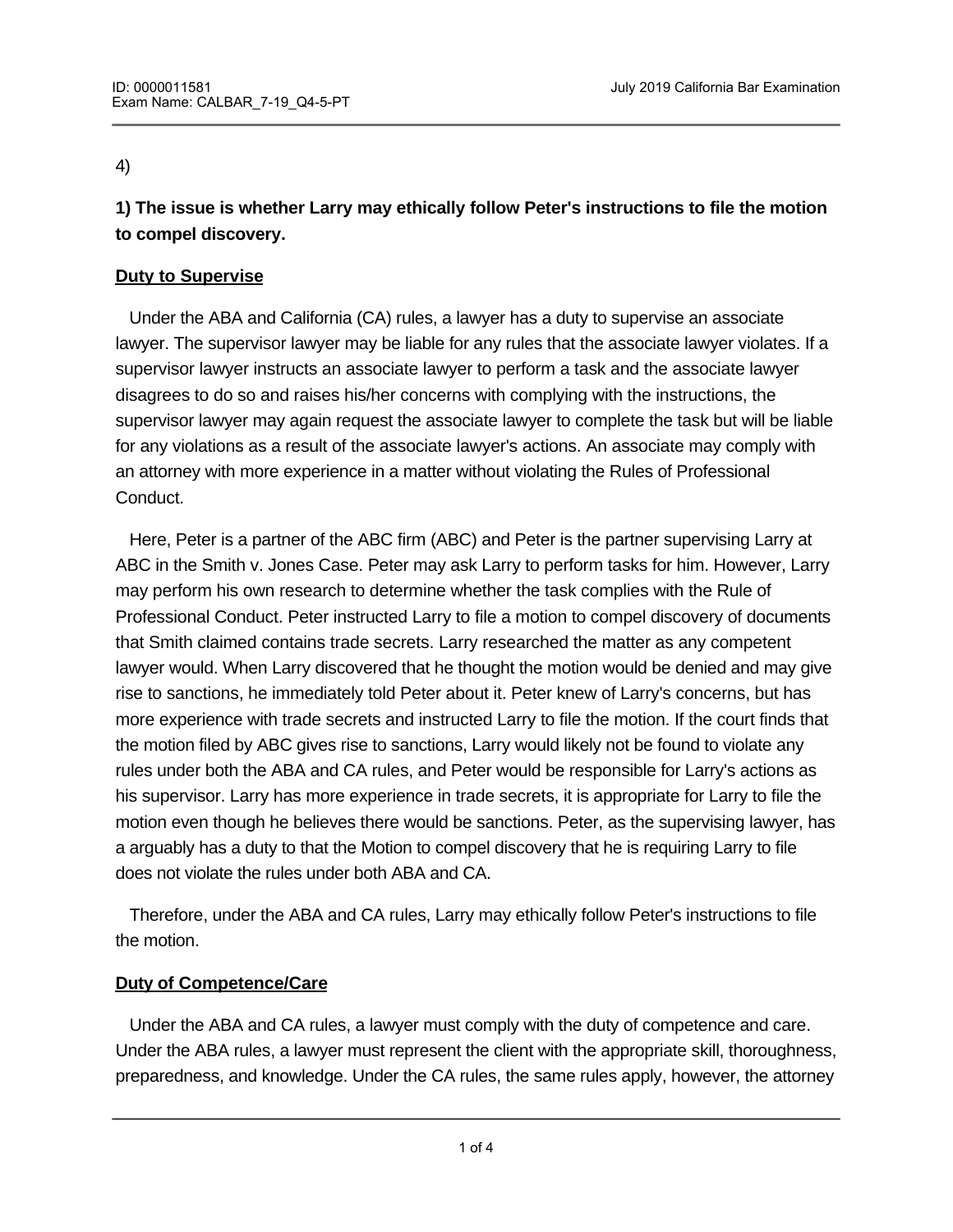#### 4)

**1) The issue is whether Larry may ethically follow Peter's instructions to file the motion to compel discovery.**

#### **Duty to Supervise**

 Under the ABA and California (CA) rules, a lawyer has a duty to supervise an associate lawyer. The supervisor lawyer may be liable for any rules that the associate lawyer violates. If a supervisor lawyer instructs an associate lawyer to perform a task and the associate lawyer disagrees to do so and raises his/her concerns with complying with the instructions, the supervisor lawyer may again request the associate lawyer to complete the task but will be liable for any violations as a result of the associate lawyer's actions. An associate may comply with an attorney with more experience in a matter without violating the Rules of Professional Conduct.

 Here, Peter is a partner of the ABC firm (ABC) and Peter is the partner supervising Larry at ABC in the Smith v. Jones Case. Peter may ask Larry to perform tasks for him. However, Larry may perform his own research to determine whether the task complies with the Rule of Professional Conduct. Peter instructed Larry to file a motion to compel discovery of documents that Smith claimed contains trade secrets. Larry researched the matter as any competent lawyer would. When Larry discovered that he thought the motion would be denied and may give rise to sanctions, he immediately told Peter about it. Peter knew of Larry's concerns, but has more experience with trade secrets and instructed Larry to file the motion. If the court finds that the motion filed by ABC gives rise to sanctions, Larry would likely not be found to violate any rules under both the ABA and CA rules, and Peter would be responsible for Larry's actions as his supervisor. Larry has more experience in trade secrets, it is appropriate for Larry to file the motion even though he believes there would be sanctions. Peter, as the supervising lawyer, has a arguably has a duty to that the Motion to compel discovery that he is requiring Larry to file does not violate the rules under both ABA and CA.

 Therefore, under the ABA and CA rules, Larry may ethically follow Peter's instructions to file the motion.

# **Duty of Competence/Care**

 Under the ABA and CA rules, a lawyer must comply with the duty of competence and care. Under the ABA rules, a lawyer must represent the client with the appropriate skill, thoroughness, preparedness, and knowledge. Under the CA rules, the same rules apply, however, the attorney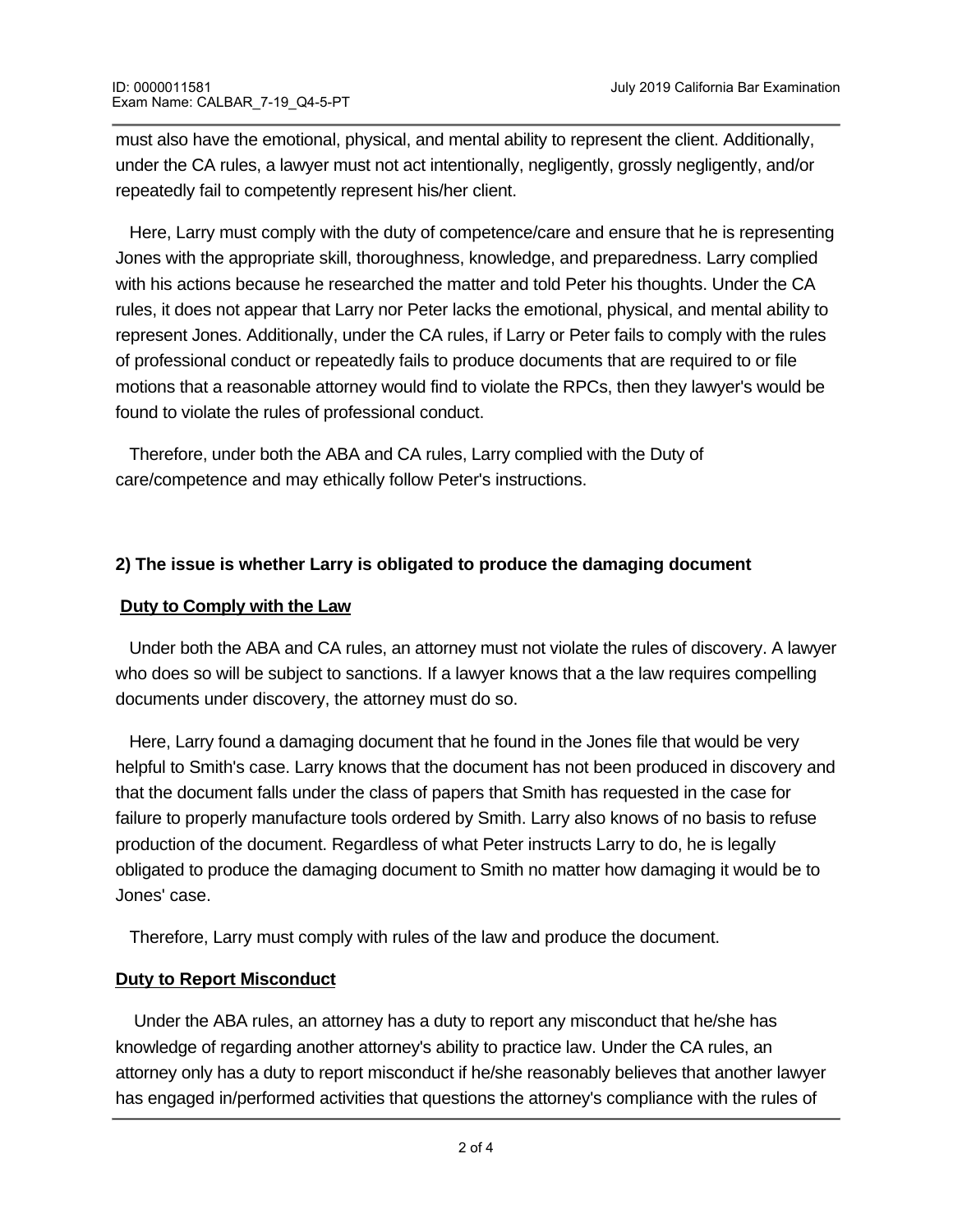must also have the emotional, physical, and mental ability to represent the client. Additionally, under the CA rules, a lawyer must not act intentionally, negligently, grossly negligently, and/or repeatedly fail to competently represent his/her client.

 Here, Larry must comply with the duty of competence/care and ensure that he is representing Jones with the appropriate skill, thoroughness, knowledge, and preparedness. Larry complied with his actions because he researched the matter and told Peter his thoughts. Under the CA rules, it does not appear that Larry nor Peter lacks the emotional, physical, and mental ability to represent Jones. Additionally, under the CA rules, if Larry or Peter fails to comply with the rules of professional conduct or repeatedly fails to produce documents that are required to or file motions that a reasonable attorney would find to violate the RPCs, then they lawyer's would be found to violate the rules of professional conduct.

 Therefore, under both the ABA and CA rules, Larry complied with the Duty of care/competence and may ethically follow Peter's instructions.

# **2) The issue is whether Larry is obligated to produce the damaging document**

### **Duty to Comply with the Law**

 Under both the ABA and CA rules, an attorney must not violate the rules of discovery. A lawyer who does so will be subject to sanctions. If a lawyer knows that a the law requires compelling documents under discovery, the attorney must do so.

 Here, Larry found a damaging document that he found in the Jones file that would be very helpful to Smith's case. Larry knows that the document has not been produced in discovery and that the document falls under the class of papers that Smith has requested in the case for failure to properly manufacture tools ordered by Smith. Larry also knows of no basis to refuse production of the document. Regardless of what Peter instructs Larry to do, he is legally obligated to produce the damaging document to Smith no matter how damaging it would be to Jones' case.

Therefore, Larry must comply with rules of the law and produce the document.

the profession. A lawyer's failure to report the information could lead to sanctions.

#### **Duty to Report Misconduct**

 Under the ABA rules, an attorney has a duty to report any misconduct that he/she has knowledge of regarding another attorney's ability to practice law. Under the CA rules, an attorney only has a duty to report misconduct if he/she reasonably believes that another lawyer has engaged in/performed activities that questions the attorney's compliance with the rules of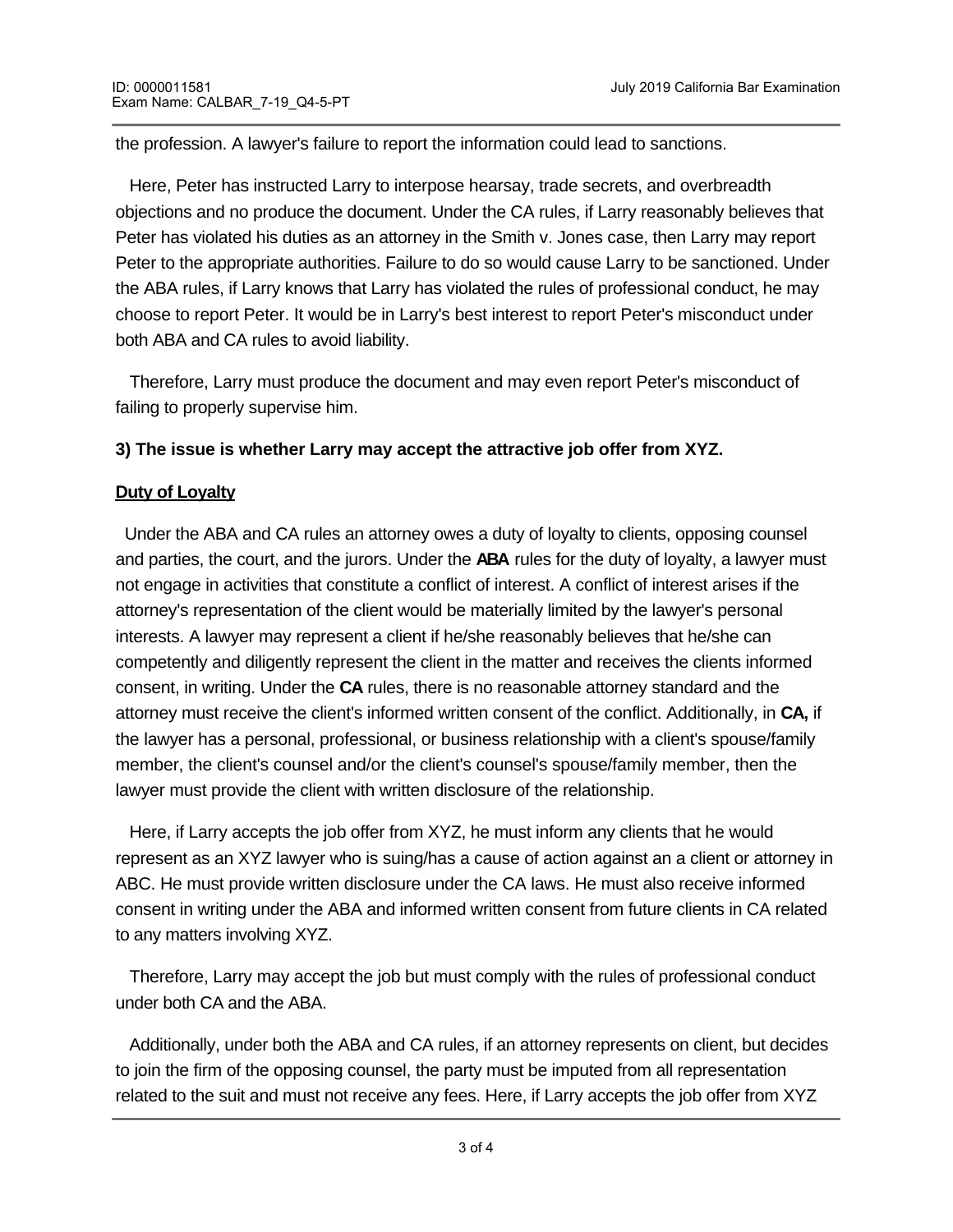the profession. A lawyer's failure to report the information could lead to sanctions.

 Here, Peter has instructed Larry to interpose hearsay, trade secrets, and overbreadth objections and no produce the document. Under the CA rules, if Larry reasonably believes that Peter has violated his duties as an attorney in the Smith v. Jones case, then Larry may report Peter to the appropriate authorities. Failure to do so would cause Larry to be sanctioned. Under the ABA rules, if Larry knows that Larry has violated the rules of professional conduct, he may choose to report Peter. It would be in Larry's best interest to report Peter's misconduct under both ABA and CA rules to avoid liability.

 Therefore, Larry must produce the document and may even report Peter's misconduct of failing to properly supervise him.

### **3) The issue is whether Larry may accept the attractive job offer from XYZ.**

### **Duty of Loyalty**

 Under the ABA and CA rules an attorney owes a duty of loyalty to clients, opposing counsel and parties, the court, and the jurors. Under the **ABA** rules for the duty of loyalty, a lawyer must not engage in activities that constitute a conflict of interest. A conflict of interest arises if the attorney's representation of the client would be materially limited by the lawyer's personal interests. A lawyer may represent a client if he/she reasonably believes that he/she can competently and diligently represent the client in the matter and receives the clients informed consent, in writing. Under the **CA** rules, there is no reasonable attorney standard and the attorney must receive the client's informed written consent of the conflict. Additionally, in **CA,** if the lawyer has a personal, professional, or business relationship with a client's spouse/family member, the client's counsel and/or the client's counsel's spouse/family member, then the lawyer must provide the client with written disclosure of the relationship.

 Here, if Larry accepts the job offer from XYZ, he must inform any clients that he would represent as an XYZ lawyer who is suing/has a cause of action against an a client or attorney in ABC. He must provide written disclosure under the CA laws. He must also receive informed consent in writing under the ABA and informed written consent from future clients in CA related to any matters involving XYZ.

 Therefore, Larry may accept the job but must comply with the rules of professional conduct under both CA and the ABA.

 Additionally, under both the ABA and CA rules, if an attorney represents on client, but decides to join the firm of the opposing counsel, the party must be imputed from all representation related to the suit and must not receive any fees. Here, if Larry accepts the job offer from XYZ

he must be imputed from the Smith v. Jones suit and not collect any fees. Larry cannot